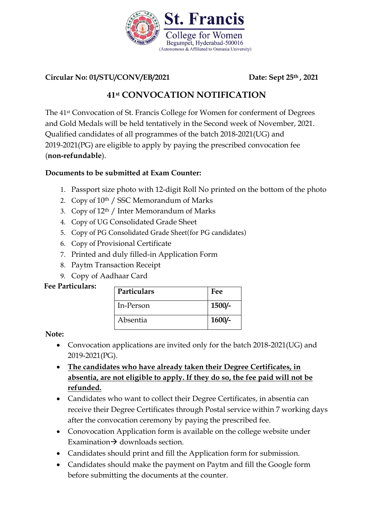

**Circular No: 01/STU/CONV/EB/2021 Date: Sept 25th , 2021** 

# **41st CONVOCATION NOTIFICATION**

The 41st Convocation of St. Francis College for Women for conferment of Degrees and Gold Medals will be held tentatively in the Second week of November, 2021. Qualified candidates of all programmes of the batch 2018-2021(UG) and 2019-2021(PG) are eligible to apply by paying the prescribed convocation fee (**non-refundable**).

### **Documents to be submitted at Exam Counter:**

- 1. Passport size photo with 12-digit Roll No printed on the bottom of the photo
- 2. Copy of 10<sup>th</sup> / SSC Memorandum of Marks
- 3. Copy of 12th / Inter Memorandum of Marks
- 4. Copy of UG Consolidated Grade Sheet
- 5. Copy of PG Consolidated Grade Sheet(for PG candidates)
- 6. Copy of Provisional Certificate
- 7. Printed and duly filled-in Application Form
- 8. Paytm Transaction Receipt
- 9. Copy of Aadhaar Card

#### **Fee Particulars:**

| <b>Particulars</b> | Fee      |
|--------------------|----------|
| In-Person          | $1500/-$ |
| Absentia           | $1600/-$ |

**Note:** 

- Convocation applications are invited only for the batch 2018-2021(UG) and 2019-2021(PG).
- **The candidates who have already taken their Degree Certificates, in absentia, are not eligible to apply. If they do so, the fee paid will not be refunded.**
- Candidates who want to collect their Degree Certificates, in absentia can receive their Degree Certificates through Postal service within 7 working days after the convocation ceremony by paying the prescribed fee.
- Conovocation Application form is available on the college website under Examination  $\rightarrow$  downloads section.
- Candidates should print and fill the Application form for submission.
- Candidates should make the payment on Paytm and fill the Google form before submitting the documents at the counter.